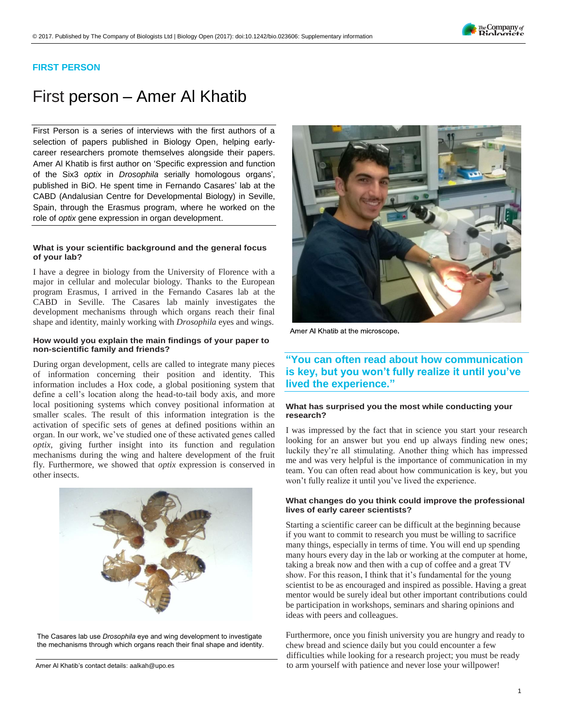### **FIRST PERSON**

# First person – Amer Al Khatib

First Person is a series of interviews with the first authors of a selection of papers published in Biology Open, helping earlycareer researchers promote themselves alongside their papers. Amer Al Khatib is first author on '[Specific expression and function](https://doi.org/10.1242/bio.023606) of the Six3 *optix* in *Drosophila* [serially homologous organs](https://doi.org/10.1242/bio.023606)', published in BiO. He spent time in Fernando Casares' lab at the CABD (Andalusian Centre for Developmental Biology) in Seville, Spain, through the Erasmus program, where he worked on the role of *optix* gene expression in organ development.

### **What is your scientific background and the general focus of your lab?**

I have a degree in biology from the University of Florence with a major in cellular and molecular biology. Thanks to the European program Erasmus, I arrived in the Fernando Casares lab at the CABD in Seville. The Casares lab mainly investigates the development mechanisms through which organs reach their final shape and identity, mainly working with *Drosophila* eyes and wings.

### **How would you explain the main findings of your paper to non-scientific family and friends?**

During organ development, cells are called to integrate many pieces of information concerning their position and identity. This information includes a Hox code, a global positioning system that define a cell's location along the head-to-tail body axis, and more local positioning systems which convey positional information at smaller scales. The result of this information integration is the activation of specific sets of genes at defined positions within an organ. In our work, we've studied one of these activated genes called *optix*, giving further insight into its function and regulation mechanisms during the wing and haltere development of the fruit fly. Furthermore, we showed that *optix* expression is conserved in other insects.



The Casares lab use *Drosophila* eye and wing development to investigate the mechanisms through which organs reach their final shape and identity.



Amer Al Khatib at the microscope.

## **"You can often read about how communication is key, but you won't fully realize it until you've lived the experience."**

### **What has surprised you the most while conducting your research?**

I was impressed by the fact that in science you start your research looking for an answer but you end up always finding new ones; luckily they're all stimulating. Another thing which has impressed me and was very helpful is the importance of communication in my team. You can often read about how communication is key, but you won't fully realize it until you've lived the experience.

### **What changes do you think could improve the professional lives of early career scientists?**

Starting a scientific career can be difficult at the beginning because if you want to commit to research you must be willing to sacrifice many things, especially in terms of time. You will end up spending many hours every day in the lab or working at the computer at home, taking a break now and then with a cup of coffee and a great TV show. For this reason, I think that it's fundamental for the young scientist to be as encouraged and inspired as possible. Having a great mentor would be surely ideal but other important contributions could be participation in workshops, seminars and sharing opinions and ideas with peers and colleagues.

Furthermore, once you finish university you are hungry and ready to chew bread and science daily but you could encounter a few difficulties while looking for a research project; you must be ready Amer Al Khatib's contact details[: aalkah@upo.es](mailto:aalkah@upo.es) excluding the state of arm yourself with patience and never lose your willpower!